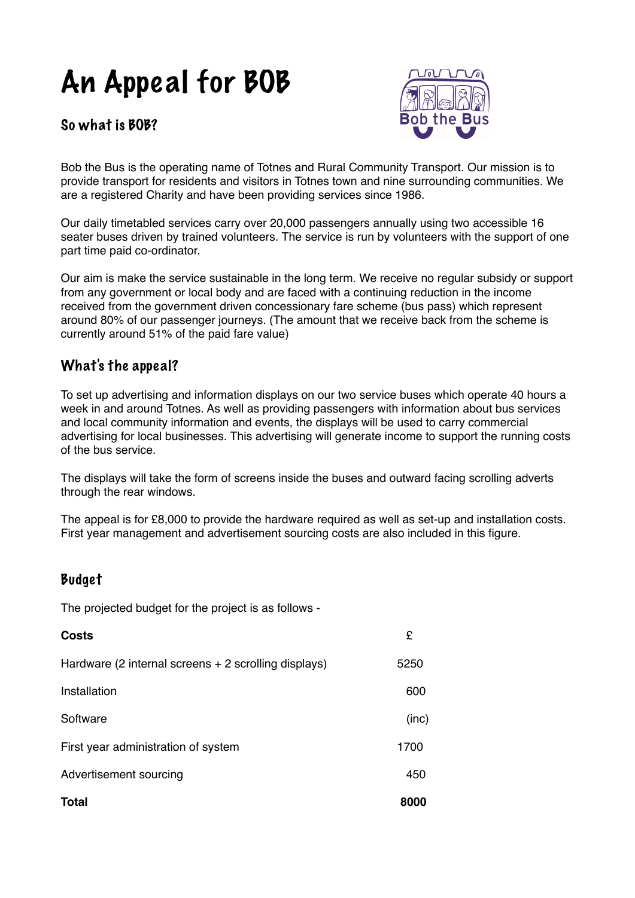## An Appeal for BOB

So what is BOB?



Bob the Bus is the operating name of Totnes and Rural Community Transport. Our mission is to provide transport for residents and visitors in Totnes town and nine surrounding communities. We are a registered Charity and have been providing services since 1986.

Our daily timetabled services carry over 20,000 passengers annually using two accessible 16 seater buses driven by trained volunteers. The service is run by volunteers with the support of one part time paid co-ordinator.

Our aim is make the service sustainable in the long term. We receive no regular subsidy or support from any government or local body and are faced with a continuing reduction in the income received from the government driven concessionary fare scheme (bus pass) which represent around 80% of our passenger journeys. (The amount that we receive back from the scheme is currently around 51% of the paid fare value)

## What's the appeal?

To set up advertising and information displays on our two service buses which operate 40 hours a week in and around Totnes. As well as providing passengers with information about bus services and local community information and events, the displays will be used to carry commercial advertising for local businesses. This advertising will generate income to support the running costs of the bus service.

The displays will take the form of screens inside the buses and outward facing scrolling adverts through the rear windows.

The appeal is for £8,000 to provide the hardware required as well as set-up and installation costs. First year management and advertisement sourcing costs are also included in this figure.

## Budget

The projected budget for the project is as follows -

| <b>Costs</b>                                         | £     |
|------------------------------------------------------|-------|
| Hardware (2 internal screens + 2 scrolling displays) | 5250  |
| Installation                                         | 600   |
| Software                                             | (inc) |
| First year administration of system                  | 1700  |
| Advertisement sourcing                               | 450   |
| <b>Total</b>                                         | 8000  |